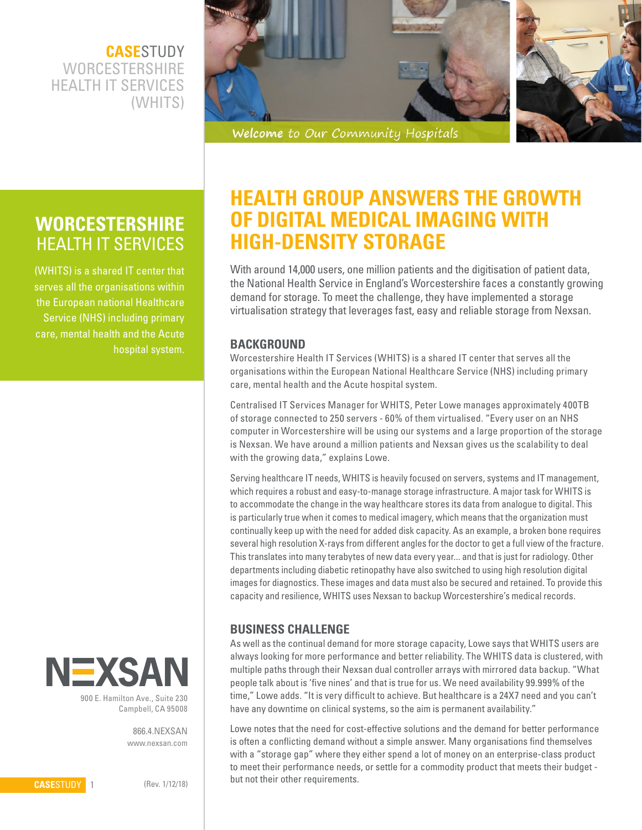**CASE**STUDY **WORCESTERSHIRE**  HEALTH IT SERVICES (WHITS)



Welcome to Our Community Hospitals

# **WORCESTERSHIRE** HEALTH IT SERVICES

(WHITS) is a shared IT center that serves all the organisations within the European national Healthcare Service (NHS) including primary care, mental health and the Acute hospital system.



900 E. Hamilton Ave., Suite 230 Campbell, CA 95008

> 866.4.NEXSAN www.nexsan.com

# **HEALTH GROUP ANSWERS THE GROWTH OF DIGITAL MEDICAL IMAGING WITH HIGH-DENSITY STORAGE**

With around 14,000 users, one million patients and the digitisation of patient data, the National Health Service in England's Worcestershire faces a constantly growing demand for storage. To meet the challenge, they have implemented a storage virtualisation strategy that leverages fast, easy and reliable storage from Nexsan.

## **BACKGROUND**

Worcestershire Health IT Services (WHITS) is a shared IT center that serves all the organisations within the European National Healthcare Service (NHS) including primary care, mental health and the Acute hospital system.

Centralised IT Services Manager for WHITS, Peter Lowe manages approximately 400TB of storage connected to 250 servers - 60% of them virtualised. "Every user on an NHS computer in Worcestershire will be using our systems and a large proportion of the storage is Nexsan. We have around a million patients and Nexsan gives us the scalability to deal with the growing data," explains Lowe.

Serving healthcare IT needs, WHITS is heavily focused on servers, systems and IT management, which requires a robust and easy-to-manage storage infrastructure. A major task for WHITS is to accommodate the change in the way healthcare stores its data from analogue to digital. This is particularly true when it comes to medical imagery, which means that the organization must continually keep up with the need for added disk capacity. As an example, a broken bone requires several high resolution X-rays from different angles for the doctor to get a full view of the fracture. This translates into many terabytes of new data every year... and that is just for radiology. Other departments including diabetic retinopathy have also switched to using high resolution digital images for diagnostics. These images and data must also be secured and retained. To provide this capacity and resilience, WHITS uses Nexsan to backup Worcestershire's medical records.

# **BUSINESS CHALLENGE**

As well as the continual demand for more storage capacity, Lowe says that WHITS users are always looking for more performance and better reliability. The WHITS data is clustered, with multiple paths through their Nexsan dual controller arrays with mirrored data backup. "What people talk about is 'five nines' and that is true for us. We need availability 99.999% of the time," Lowe adds. "It is very difficult to achieve. But healthcare is a 24X7 need and you can't have any downtime on clinical systems, so the aim is permanent availability."

Lowe notes that the need for cost-effective solutions and the demand for better performance is often a conflicting demand without a simple answer. Many organisations find themselves with a "storage gap" where they either spend a lot of money on an enterprise-class product to meet their performance needs, or settle for a commodity product that meets their budget but not their other requirements.

**CASE**STUDY 1

(Rev. 1/12/18)